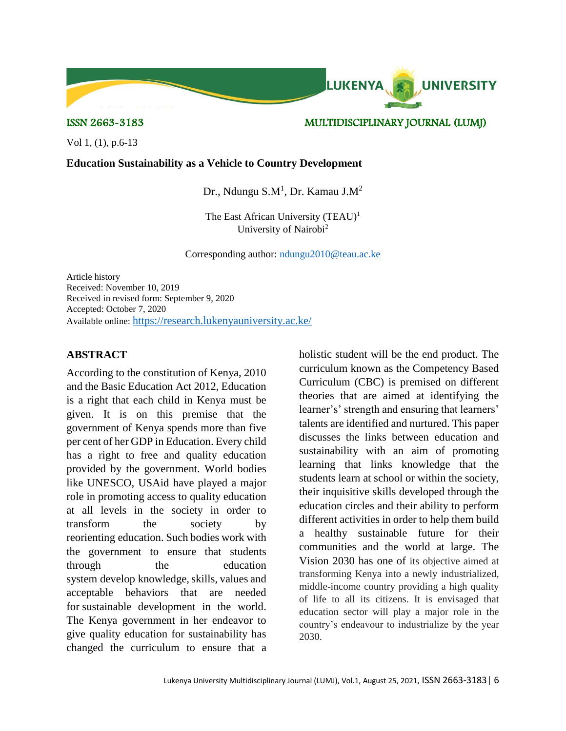Vol 1, (1), p.6-13

#### **Education Sustainability as a Vehicle to Country Development**

Dr., Ndungu S.M<sup>1</sup>, Dr. Kamau J.M<sup>2</sup>

The East African University  $(TEAU)^1$ University of Nairobi<sup>2</sup>

Corresponding author: [ndungu2010@teau.ac.ke](mailto:ndungu2010@teau.ac.ke)

Article history Received: November 10, 2019 Received in revised form: September 9, 2020 Accepted: October 7, 2020 Available online: <https://research.lukenyauniversity.ac.ke/>

#### **ABSTRACT**

According to the constitution of Kenya, 2010 and the Basic Education Act 2012, Education is a right that each child in Kenya must be given. It is on this premise that the government of Kenya spends more than five per cent of her GDP in Education. Every child has a right to free and quality education provided by the government. World bodies like UNESCO, USAid have played a major role in promoting access to quality education at all levels in the society in order to transform the society by reorienting education. Such bodies work with the government to ensure that students through the education system develop knowledge, skills, values and acceptable behaviors that are needed for sustainable development in the world. The Kenya government in her endeavor to give quality education for sustainability has changed the curriculum to ensure that a holistic student will be the end product. The curriculum known as the Competency Based Curriculum (CBC) is premised on different theories that are aimed at identifying the learner's' strength and ensuring that learners' talents are identified and nurtured. This paper discusses the links between education and sustainability with an aim of promoting learning that links knowledge that the students learn at school or within the society, their inquisitive skills developed through the education circles and their ability to perform different activities in order to help them build a healthy sustainable future for their communities and the world at large. The Vision 2030 has one of its objective aimed at transforming Kenya into a newly industrialized, middle-income country providing a high quality of life to all its citizens. It is envisaged that education sector will play a major role in the country's endeavour to industrialize by the year 2030.

# ISSN 2663-3183 MULTIDISCIPLINARY JOURNAL (LUMJ)

**UNIVERSITY** 

LUKENYA.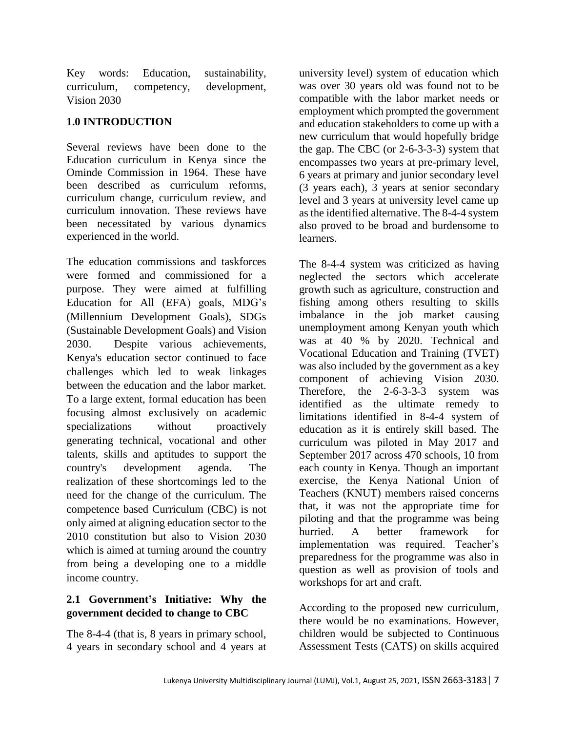Key words: Education, sustainability, curriculum, competency, development, Vision 2030

#### **1.0 INTRODUCTION**

Several reviews have been done to the Education curriculum in Kenya since the Ominde Commission in 1964. These have been described as curriculum reforms, curriculum change, curriculum review, and curriculum innovation. These reviews have been necessitated by various dynamics experienced in the world.

The education commissions and taskforces were formed and commissioned for a purpose. They were aimed at fulfilling Education for All (EFA) goals, MDG's (Millennium Development Goals), SDGs (Sustainable Development Goals) and Vision 2030. Despite various achievements, Kenya's education sector continued to face challenges which led to weak linkages between the education and the labor market. To a large extent, formal education has been focusing almost exclusively on academic specializations without proactively generating technical, vocational and other talents, skills and aptitudes to support the country's development agenda. The realization of these shortcomings led to the need for the change of the curriculum. The competence based Curriculum (CBC) is not only aimed at aligning education sector to the 2010 constitution but also to Vision 2030 which is aimed at turning around the country from being a developing one to a middle income country.

# **2.1 Government's Initiative: Why the government decided to change to CBC**

The 8-4-4 (that is, 8 years in primary school, 4 years in secondary school and 4 years at

university level) system of education which was over 30 years old was found not to be compatible with the labor market needs or employment which prompted the government and education stakeholders to come up with a new curriculum that would hopefully bridge the gap. The CBC (or 2-6-3-3-3) system that encompasses two years at pre-primary level, 6 years at primary and junior secondary level (3 years each), 3 years at senior secondary level and 3 years at university level came up as the identified alternative. The 8-4-4 system also proved to be broad and burdensome to learners.

The 8-4-4 system was criticized as having neglected the sectors which accelerate growth such as agriculture, construction and fishing among others resulting to skills imbalance in the job market causing unemployment among Kenyan youth which was at 40 % by 2020. Technical and Vocational Education and Training (TVET) was also included by the government as a key component of achieving Vision 2030. Therefore, the 2-6-3-3-3 system was identified as the ultimate remedy to limitations identified in 8-4-4 system of education as it is entirely skill based. The curriculum was piloted in May 2017 and September 2017 across 470 schools, 10 from each county in Kenya. Though an important exercise, the Kenya National Union of Teachers (KNUT) members raised concerns that, it was not the appropriate time for piloting and that the programme was being hurried. A better framework for implementation was required. Teacher's preparedness for the programme was also in question as well as provision of tools and workshops for art and craft.

According to the proposed new curriculum, there would be no examinations. However, children would be subjected to Continuous Assessment Tests (CATS) on skills acquired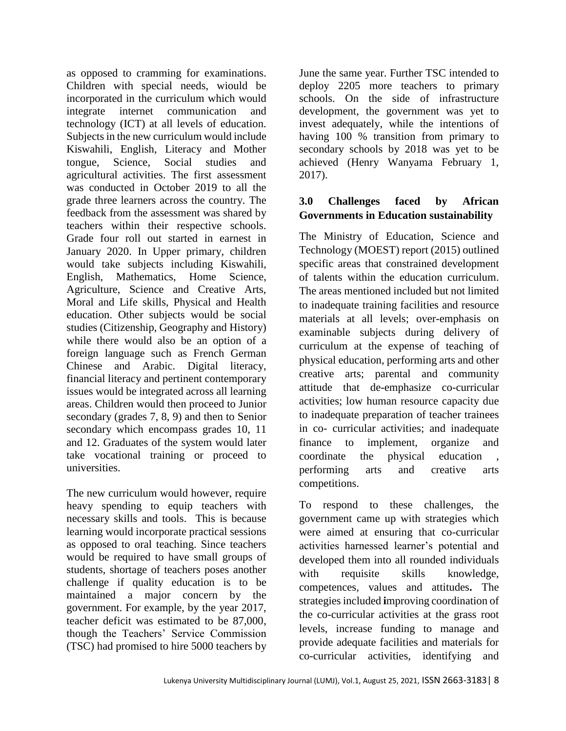as opposed to cramming for examinations. Children with special needs, wiould be incorporated in the curriculum which would integrate internet communication and technology (ICT) at all levels of education. Subjects in the new curriculum would include Kiswahili, English, Literacy and Mother tongue, Science, Social studies and agricultural activities. The first assessment was conducted in October 2019 to all the grade three learners across the country. The feedback from the assessment was shared by teachers within their respective schools. Grade four roll out started in earnest in January 2020. In Upper primary, children would take subjects including Kiswahili, English, Mathematics, Home Science, Agriculture, Science and Creative Arts, Moral and Life skills, Physical and Health education. Other subjects would be social studies (Citizenship, Geography and History) while there would also be an option of a foreign language such as French German Chinese and Arabic. Digital literacy, financial literacy and pertinent contemporary issues would be integrated across all learning areas. Children would then proceed to Junior secondary (grades 7, 8, 9) and then to Senior secondary which encompass grades 10, 11 and 12. Graduates of the system would later take vocational training or proceed to universities.

The new curriculum would however, require heavy spending to equip teachers with necessary skills and tools. This is because learning would incorporate practical sessions as opposed to oral teaching. Since teachers would be required to have small groups of students, shortage of teachers poses another challenge if quality education is to be maintained a major concern by the government. For example, by the year 2017, teacher deficit was estimated to be 87,000, though the Teachers' Service Commission (TSC) had promised to hire 5000 teachers by

June the same year. Further TSC intended to deploy 2205 more teachers to primary schools. On the side of infrastructure development, the government was yet to invest adequately, while the intentions of having 100 % transition from primary to secondary schools by 2018 was yet to be achieved (Henry Wanyama February 1, 2017).

## **3.0 Challenges faced by African Governments in Education sustainability**

The Ministry of Education, Science and Technology (MOEST) report (2015) outlined specific areas that constrained development of talents within the education curriculum. The areas mentioned included but not limited to inadequate training facilities and resource materials at all levels; over-emphasis on examinable subjects during delivery of curriculum at the expense of teaching of physical education, performing arts and other creative arts; parental and community attitude that de-emphasize co-curricular activities; low human resource capacity due to inadequate preparation of teacher trainees in co- curricular activities; and inadequate finance to implement, organize and coordinate the physical education performing arts and creative arts competitions.

To respond to these challenges, the government came up with strategies which were aimed at ensuring that co-curricular activities harnessed learner's potential and developed them into all rounded individuals with requisite skills knowledge, competences, values and attitudes**.** The strategies included **i**mproving coordination of the co-curricular activities at the grass root levels, increase funding to manage and provide adequate facilities and materials for co-curricular activities, identifying and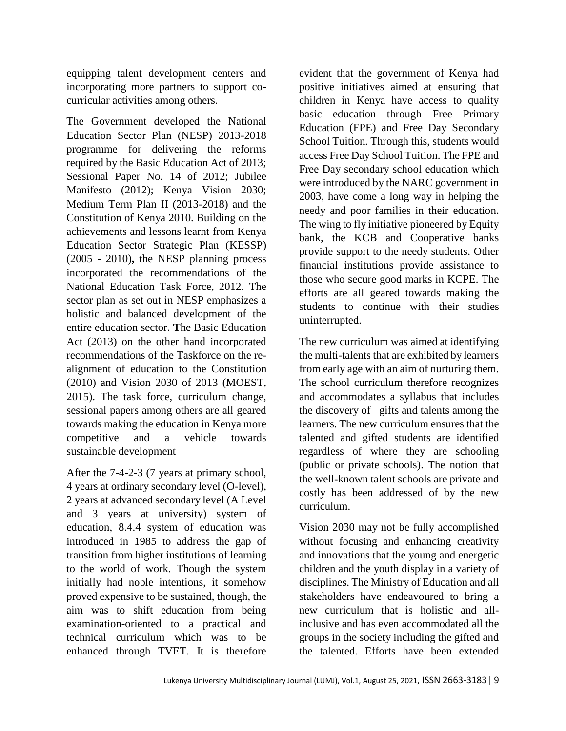equipping talent development centers and incorporating more partners to support cocurricular activities among others.

The Government developed the National Education Sector Plan (NESP) 2013-2018 programme for delivering the reforms required by the Basic Education Act of 2013; Sessional Paper No. 14 of 2012; Jubilee Manifesto (2012); Kenya Vision 2030; Medium Term Plan II (2013-2018) and the Constitution of Kenya 2010. Building on the achievements and lessons learnt from Kenya Education Sector Strategic Plan (KESSP) (2005 - 2010)**,** the NESP planning process incorporated the recommendations of the National Education Task Force, 2012. The sector plan as set out in NESP emphasizes a holistic and balanced development of the entire education sector. **T**he Basic Education Act (2013) on the other hand incorporated recommendations of the Taskforce on the realignment of education to the Constitution (2010) and Vision 2030 of 2013 (MOEST, 2015). The task force, curriculum change, sessional papers among others are all geared towards making the education in Kenya more competitive and a vehicle towards sustainable development

After the 7-4-2-3 (7 years at primary school, 4 years at ordinary secondary level (O-level), 2 years at advanced secondary level (A Level and 3 years at university) system of education, 8.4.4 system of education was introduced in 1985 to address the gap of transition from higher institutions of learning to the world of work. Though the system initially had noble intentions, it somehow proved expensive to be sustained, though, the aim was to shift education from being examination-oriented to a practical and technical curriculum which was to be enhanced through TVET. It is therefore

evident that the government of Kenya had positive initiatives aimed at ensuring that children in Kenya have access to quality basic education through Free Primary Education (FPE) and Free Day Secondary School Tuition. Through this, students would access Free Day School Tuition. The FPE and Free Day secondary school education which were introduced by the NARC government in 2003, have come a long way in helping the needy and poor families in their education. The wing to fly initiative pioneered by Equity bank, the KCB and Cooperative banks provide support to the needy students. Other financial institutions provide assistance to those who secure good marks in KCPE. The efforts are all geared towards making the students to continue with their studies uninterrupted.

The new curriculum was aimed at identifying the multi-talents that are exhibited by learners from early age with an aim of nurturing them. The school curriculum therefore recognizes and accommodates a syllabus that includes the discovery of gifts and talents among the learners. The new curriculum ensures that the talented and gifted students are identified regardless of where they are schooling (public or private schools). The notion that the well-known talent schools are private and costly has been addressed of by the new curriculum.

Vision 2030 may not be fully accomplished without focusing and enhancing creativity and innovations that the young and energetic children and the youth display in a variety of disciplines. The Ministry of Education and all stakeholders have endeavoured to bring a new curriculum that is holistic and allinclusive and has even accommodated all the groups in the society including the gifted and the talented. Efforts have been extended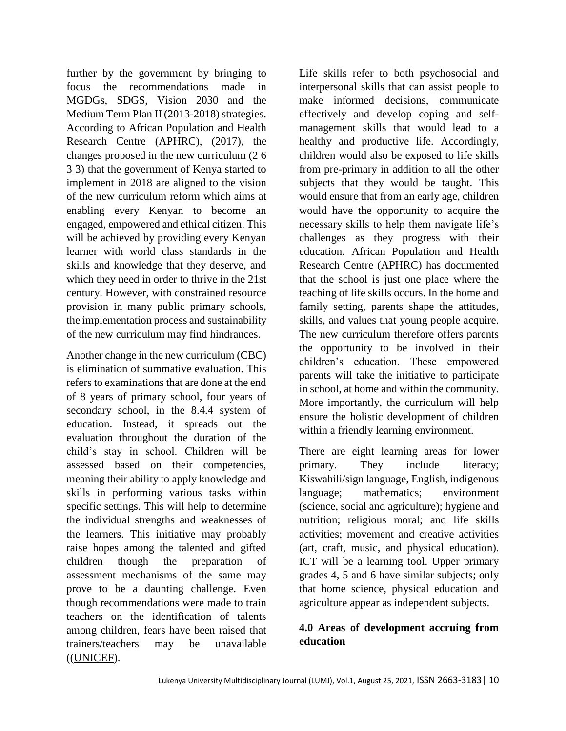further by the government by bringing to focus the recommendations made in MGDGs, SDGS, Vision 2030 and the Medium Term Plan II (2013-2018) strategies. According to African Population and Health Research Centre (APHRC), (2017), the changes proposed in the new curriculum (2 6 3 3) that the government of Kenya started to implement in 2018 are aligned to the vision of the new curriculum reform which aims at enabling every Kenyan to become an engaged, empowered and ethical citizen. This will be achieved by providing every Kenyan learner with world class standards in the skills and knowledge that they deserve, and which they need in order to thrive in the 21st century. However, with constrained resource provision in many public primary schools, the implementation process and sustainability of the new curriculum may find hindrances.

Another change in the new curriculum (CBC) is elimination of summative evaluation. This refers to examinations that are done at the end of 8 years of primary school, four years of secondary school, in the 8.4.4 system of education. Instead, it spreads out the evaluation throughout the duration of the child's stay in school. Children will be assessed based on their competencies, meaning their ability to apply knowledge and skills in performing various tasks within specific settings. This will help to determine the individual strengths and weaknesses of the learners. This initiative may probably raise hopes among the talented and gifted children though the preparation of assessment mechanisms of the same may prove to be a daunting challenge. Even though recommendations were made to train teachers on the identification of talents among children, fears have been raised that trainers/teachers may be unavailable ([\(UNICEF\)](https://www.unicef.org/evaldatabase/index_66242.html).

Life skills refer to both psychosocial and interpersonal skills that can assist people to make informed decisions, communicate effectively and develop coping and selfmanagement skills that would lead to a healthy and productive life. Accordingly, children would also be exposed to life skills from pre-primary in addition to all the other subjects that they would be taught. This would ensure that from an early age, children would have the opportunity to acquire the necessary skills to help them navigate life's challenges as they progress with their education. African Population and Health Research Centre (APHRC) has documented that the school is just one place where the teaching of life skills occurs. In the home and family setting, parents shape the attitudes, skills, and values that young people acquire. The new curriculum therefore offers parents the opportunity to be involved in their children's education. These empowered parents will take the initiative to participate in school, at home and within the community. More importantly, the curriculum will help ensure the holistic development of children within a friendly learning environment.

There are eight learning areas for lower primary. They include literacy; Kiswahili/sign language, English, indigenous language; mathematics; environment (science, social and agriculture); hygiene and nutrition; religious moral; and life skills activities; movement and creative activities (art, craft, music, and physical education). ICT will be a learning tool. Upper primary grades 4, 5 and 6 have similar subjects; only that home science, physical education and agriculture appear as independent subjects.

# **4.0 Areas of development accruing from education**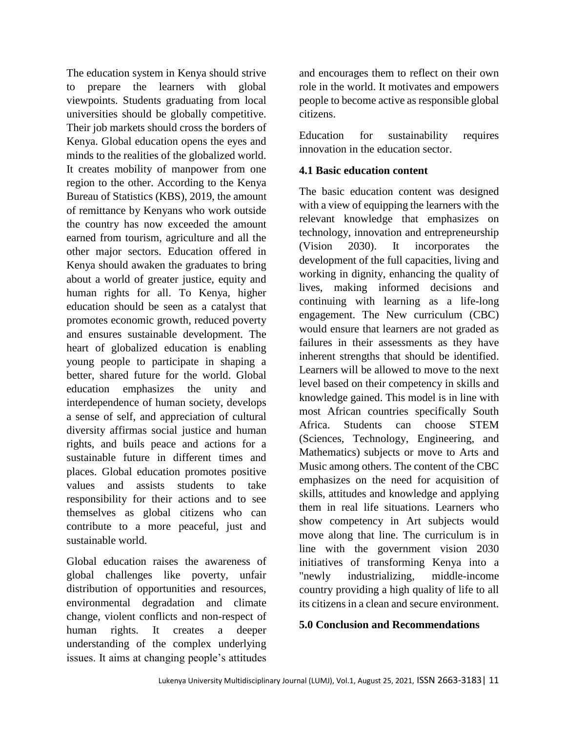The education system in Kenya should strive to prepare the learners with global viewpoints. Students graduating from local universities should be globally competitive. Their job markets should cross the borders of Kenya. Global education opens the eyes and minds to the realities of the globalized world. It creates mobility of manpower from one region to the other. According to the Kenya Bureau of Statistics (KBS), 2019, the amount of remittance by Kenyans who work outside the country has now exceeded the amount earned from tourism, agriculture and all the other major sectors. Education offered in Kenya should awaken the graduates to bring about a world of greater justice, equity and human rights for all. To Kenya, higher education should be seen as a catalyst that promotes economic growth, reduced poverty and ensures sustainable development. The heart of globalized education is enabling young people to participate in shaping a better, shared future for the world. Global education emphasizes the unity and interdependence of human society, develops a sense of self, and appreciation of cultural diversity affirmas social justice and human rights, and buils peace and actions for a sustainable future in different times and places. Global education promotes positive values and assists students to take responsibility for their actions and to see themselves as global citizens who can contribute to a more peaceful, just and sustainable world.

Global education raises the awareness of global challenges like poverty, unfair distribution of opportunities and resources, environmental degradation and climate change, violent conflicts and non-respect of human rights. It creates a deeper understanding of the complex underlying issues. It aims at changing people's attitudes

and encourages them to reflect on their own role in the world. It motivates and empowers people to become active as responsible global citizens.

Education for sustainability requires innovation in the education sector.

#### **4.1 Basic education content**

The basic education content was designed with a view of equipping the learners with the relevant knowledge that emphasizes on technology, innovation and entrepreneurship (Vision  $2030$ ). It incorporates development of the full capacities, living and working in dignity, enhancing the quality of lives, making informed decisions and continuing with learning as a life-long engagement. The New curriculum (CBC) would ensure that learners are not graded as failures in their assessments as they have inherent strengths that should be identified. Learners will be allowed to move to the next level based on their competency in skills and knowledge gained. This model is in line with most African countries specifically South Africa. Students can choose STEM (Sciences, Technology, Engineering, and Mathematics) subjects or move to Arts and Music among others. The content of the CBC emphasizes on the need for acquisition of skills, attitudes and knowledge and applying them in real life situations. Learners who show competency in Art subjects would move along that line. The curriculum is in line with the government vision 2030 initiatives of transforming Kenya into a "newly industrializing, middle-income country providing a high quality of life to all its citizens in a clean and secure environment.

#### **5.0 Conclusion and Recommendations**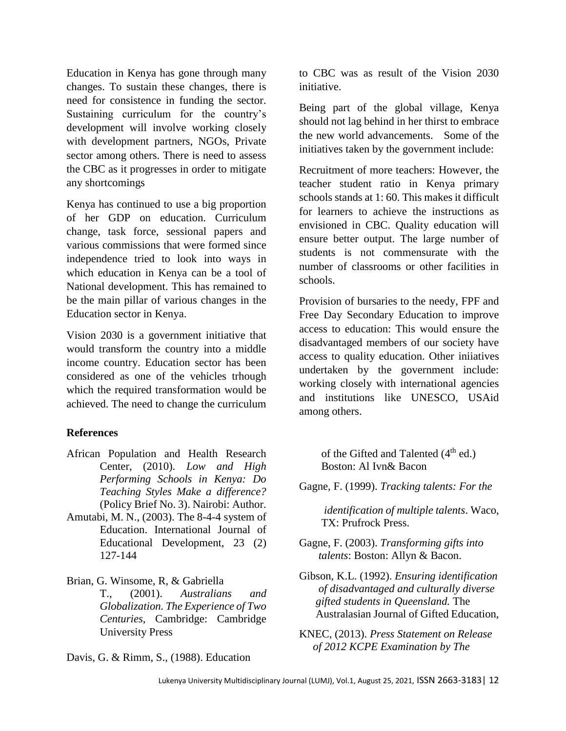Education in Kenya has gone through many changes. To sustain these changes, there is need for consistence in funding the sector. Sustaining curriculum for the country's development will involve working closely with development partners, NGOs, Private sector among others. There is need to assess the CBC as it progresses in order to mitigate any shortcomings

Kenya has continued to use a big proportion of her GDP on education. Curriculum change, task force, sessional papers and various commissions that were formed since independence tried to look into ways in which education in Kenya can be a tool of National development. This has remained to be the main pillar of various changes in the Education sector in Kenya.

Vision 2030 is a government initiative that would transform the country into a middle income country. Education sector has been considered as one of the vehicles trhough which the required transformation would be achieved. The need to change the curriculum

## **References**

- African Population and Health Research Center, (2010). *Low and High Performing Schools in Kenya: Do Teaching Styles Make a difference?* (Policy Brief No. 3). Nairobi: Author.
- Amutabi, M. N., (2003). The 8-4-4 system of Education. International Journal of Educational Development, 23 (2) 127-144

Brian, G. Winsome, R, & Gabriella

T., (2001). *Australians and Globalization. The Experience of Two Centuries,* Cambridge: Cambridge University Press

Davis, G. & Rimm, S., (1988). Education

to CBC was as result of the Vision 2030 initiative.

Being part of the global village, Kenya should not lag behind in her thirst to embrace the new world advancements. Some of the initiatives taken by the government include:

Recruitment of more teachers: However, the teacher student ratio in Kenya primary schools stands at 1: 60. This makes it difficult for learners to achieve the instructions as envisioned in CBC. Quality education will ensure better output. The large number of students is not commensurate with the number of classrooms or other facilities in schools.

Provision of bursaries to the needy, FPF and Free Day Secondary Education to improve access to education: This would ensure the disadvantaged members of our society have access to quality education. Other iniiatives undertaken by the government include: working closely with international agencies and institutions like UNESCO, USAid among others.

> of the Gifted and Talented (4<sup>th</sup> ed.) Boston: Al Ivn& Bacon

Gagne, F. (1999). *Tracking talents: For the*

 *identification of multiple talents*. Waco, TX: Prufrock Press.

Gagne, F. (2003). *Transforming gifts into talents*: Boston: Allyn & Bacon.

Gibson, K.L. (1992). *Ensuring identification of disadvantaged and culturally diverse gifted students in Queensland.* The Australasian Journal of Gifted Education,

KNEC, (2013). *Press Statement on Release of 2012 KCPE Examination by The*